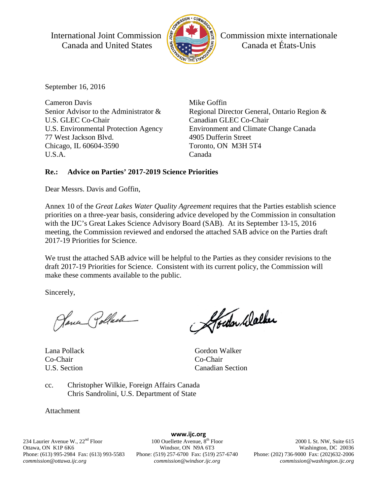International Joint Commission  $\left|\frac{1}{2}\right|$  Commission mixte internationale Canada and United States **Extra Legislation** Canada et États-Unis



September 16, 2016

Cameron Davis Senior Advisor to the Administrator & U.S. GLEC Co-Chair U.S. Environmental Protection Agency 77 West Jackson Blvd. Chicago, IL 60604-3590 U.S.A.

Mike Goffin Regional Director General, Ontario Region & Canadian GLEC Co-Chair Environment and Climate Change Canada 4905 Dufferin Street Toronto, ON M3H 5T4 Canada

### **Re.: Advice on Parties' 2017-2019 Science Priorities**

Dear Messrs. Davis and Goffin,

Annex 10 of the *Great Lakes Water Quality Agreement* requires that the Parties establish science priorities on a three-year basis, considering advice developed by the Commission in consultation with the IJC's Great Lakes Science Advisory Board (SAB). At its September 13-15, 2016 meeting, the Commission reviewed and endorsed the attached SAB advice on the Parties draft 2017-19 Priorities for Science.

We trust the attached SAB advice will be helpful to the Parties as they consider revisions to the draft 2017-19 Priorities for Science. Consistent with its current policy, the Commission will make these comments available to the public.

Sincerely,

Jana Pollach

Lana Pollack Co-Chair U.S. Section

Abedon Walker

Gordon Walker Co-Chair Canadian Section

cc. Christopher Wilkie, Foreign Affairs Canada Chris Sandrolini, U.S. Department of State

Attachment

234 Laurier Avenue W., 22<sup>nd</sup> Floor Ottawa, ON K1P 6K6 Phone: (613) 995-2984 Fax: (613) 993-5583 *commission@ottawa.ijc.org*

**www.ijc.org** 100 Ouellette Avenue, 8<sup>th</sup> Floor Windsor, ON N9A 6T3 Phone: (519) 257-6700 Fax: (519) 257-6740 *commission@windsor.ijc.org*

2000 L St. NW, Suite 615 Washington, DC 20036 Phone: (202) 736-9000 Fax: (202)632-2006 *commission@washington.ijc.org*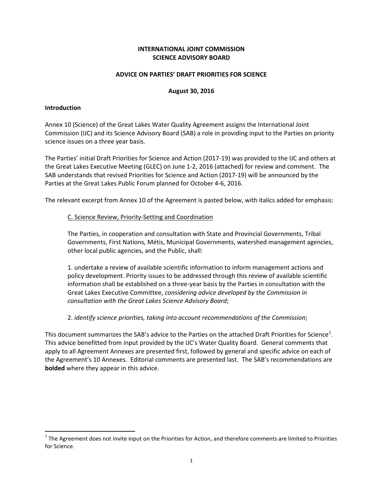#### **INTERNATIONAL JOINT COMMISSION SCIENCE ADVISORY BOARD**

#### **ADVICE ON PARTIES' DRAFT PRIORITIES FOR SCIENCE**

#### **August 30, 2016**

#### **Introduction**

Annex 10 (Science) of the Great Lakes Water Quality Agreement assigns the International Joint Commission (IJC) and its Science Advisory Board (SAB) a role in providing input to the Parties on priority science issues on a three year basis.

The Parties' initial Draft Priorities for Science and Action (2017-19) was provided to the IJC and others at the Great Lakes Executive Meeting (GLEC) on June 1-2, 2016 (attached) for review and comment. The SAB understands that revised Priorities for Science and Action (2017-19) will be announced by the Parties at the Great Lakes Public Forum planned for October 4-6, 2016.

The relevant excerpt from Annex 10 of the Agreement is pasted below, with italics added for emphasis:

#### C. Science Review, Priority-Setting and Coordination

The Parties, in cooperation and consultation with State and Provincial Governments, Tribal Governments, First Nations, Métis, Municipal Governments, watershed management agencies, other local public agencies, and the Public, shall:

1. undertake a review of available scientific information to inform management actions and policy development. Priority issues to be addressed through this review of available scientific information shall be established on a three-year basis by the Parties in consultation with the Great Lakes Executive Committee, *considering advice developed by the Commission in consultation with the Great Lakes Science Advisory Board*;

2. *identify science priorities, taking into account recommendations of the Commission*;

This document summarizes the SAB's advice to the Parties on the attached Draft Priorities for Science<sup>[1](#page-1-0)</sup>. This advice benefitted from input provided by the IJC's Water Quality Board. General comments that apply to all Agreement Annexes are presented first, followed by general and specific advice on each of the Agreement's 10 Annexes. Editorial comments are presented last. The SAB's recommendations are **bolded** where they appear in this advice.

<span id="page-1-0"></span> $1$  The Agreement does not invite input on the Priorities for Action, and therefore comments are limited to Priorities for Science.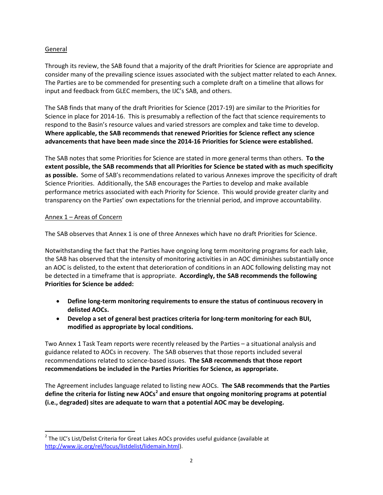### General

Through its review, the SAB found that a majority of the draft Priorities for Science are appropriate and consider many of the prevailing science issues associated with the subject matter related to each Annex. The Parties are to be commended for presenting such a complete draft on a timeline that allows for input and feedback from GLEC members, the IJC's SAB, and others.

The SAB finds that many of the draft Priorities for Science (2017-19) are similar to the Priorities for Science in place for 2014-16. This is presumably a reflection of the fact that science requirements to respond to the Basin's resource values and varied stressors are complex and take time to develop. **Where applicable, the SAB recommends that renewed Priorities for Science reflect any science advancements that have been made since the 2014-16 Priorities for Science were established.**

The SAB notes that some Priorities for Science are stated in more general terms than others. **To the extent possible, the SAB recommends that all Priorities for Science be stated with as much specificity as possible.** Some of SAB's recommendations related to various Annexes improve the specificity of draft Science Priorities. Additionally, the SAB encourages the Parties to develop and make available performance metrics associated with each Priority for Science. This would provide greater clarity and transparency on the Parties' own expectations for the triennial period, and improve accountability.

### Annex 1 – Areas of Concern

The SAB observes that Annex 1 is one of three Annexes which have no draft Priorities for Science.

Notwithstanding the fact that the Parties have ongoing long term monitoring programs for each lake, the SAB has observed that the intensity of monitoring activities in an AOC diminishes substantially once an AOC is delisted, to the extent that deterioration of conditions in an AOC following delisting may not be detected in a timeframe that is appropriate. **Accordingly, the SAB recommends the following Priorities for Science be added:**

- **Define long-term monitoring requirements to ensure the status of continuous recovery in delisted AOCs.**
- **Develop a set of general best practices criteria for long-term monitoring for each BUI, modified as appropriate by local conditions.**

Two Annex 1 Task Team reports were recently released by the Parties – a situational analysis and guidance related to AOCs in recovery. The SAB observes that those reports included several recommendations related to science-based issues. **The SAB recommends that those report recommendations be included in the Parties Priorities for Science, as appropriate.**

The Agreement includes language related to listing new AOCs. **The SAB recommends that the Parties define the criteria for listing new AOCs[2](#page-2-0) and ensure that ongoing monitoring programs at potential (i.e., degraded) sites are adequate to warn that a potential AOC may be developing.**

<span id="page-2-0"></span> $2$  The IJC's List/Delist Criteria for Great Lakes AOCs provides useful guidance (available at [http://www.ijc.org/rel/focus/listdelist/lidemain.html\)](http://www.ijc.org/rel/focus/listdelist/lidemain.html).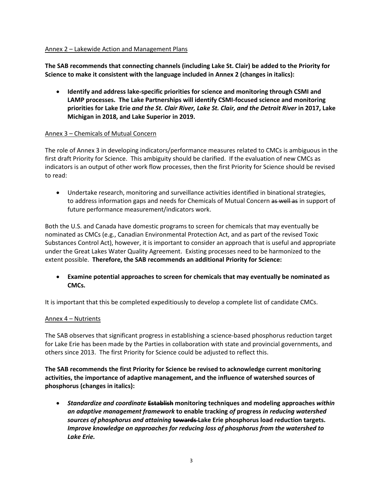#### Annex 2 – Lakewide Action and Management Plans

**The SAB recommends that connecting channels (including Lake St. Clair) be added to the Priority for Science to make it consistent with the language included in Annex 2 (changes in italics):**

• **Identify and address lake-specific priorities for science and monitoring through CSMI and LAMP processes. The Lake Partnerships will identify CSMI-focused science and monitoring priorities for Lake Erie** *and the St. Clair River, Lake St. Clair, and the Detroit River* **in 2017, Lake Michigan in 2018, and Lake Superior in 2019.**

### Annex 3 – Chemicals of Mutual Concern

The role of Annex 3 in developing indicators/performance measures related to CMCs is ambiguous in the first draft Priority for Science. This ambiguity should be clarified. If the evaluation of new CMCs as indicators is an output of other work flow processes, then the first Priority for Science should be revised to read:

• Undertake research, monitoring and surveillance activities identified in binational strategies, to address information gaps and needs for Chemicals of Mutual Concern as well as in support of future performance measurement/indicators work.

Both the U.S. and Canada have domestic programs to screen for chemicals that may eventually be nominated as CMCs (e.g., Canadian Environmental Protection Act, and as part of the revised Toxic Substances Control Act), however, it is important to consider an approach that is useful and appropriate under the Great Lakes Water Quality Agreement. Existing processes need to be harmonized to the extent possible. **Therefore, the SAB recommends an additional Priority for Science:**

• **Examine potential approaches to screen for chemicals that may eventually be nominated as CMCs.**

It is important that this be completed expeditiously to develop a complete list of candidate CMCs.

### Annex 4 – Nutrients

The SAB observes that significant progress in establishing a science-based phosphorus reduction target for Lake Erie has been made by the Parties in collaboration with state and provincial governments, and others since 2013. The first Priority for Science could be adjusted to reflect this.

**The SAB recommends the first Priority for Science be revised to acknowledge current monitoring activities, the importance of adaptive management, and the influence of watershed sources of phosphorus (changes in italics):**

• *Standardize and coordinate* **Establish monitoring techniques and modeling approaches** *within an adaptive management framework* **to enable tracking** *of* **progress** *in reducing watershed sources of phosphorus and attaining* **towards Lake Erie phosphorus load reduction targets.**  *Improve knowledge on approaches for reducing loss of phosphorus from the watershed to Lake Erie.*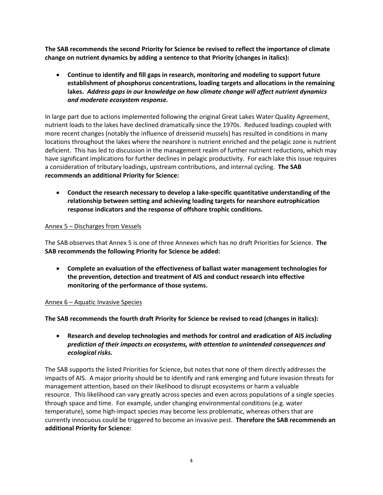**The SAB recommends the second Priority for Science be revised to reflect the importance of climate change on nutrient dynamics by adding a sentence to that Priority (changes in italics):**

• **Continue to identify and fill gaps in research, monitoring and modeling to support future establishment of phosphorus concentrations, loading targets and allocations in the remaining lakes.** *Address gaps in our knowledge on how climate change will affect nutrient dynamics and moderate ecosystem response.*

In large part due to actions implemented following the original Great Lakes Water Quality Agreement, nutrient loads to the lakes have declined dramatically since the 1970s. Reduced loadings coupled with more recent changes (notably the influence of dreissenid mussels) has resulted in conditions in many locations throughout the lakes where the nearshore is nutrient enriched and the pelagic zone is nutrient deficient. This has led to discussion in the management realm of further nutrient reductions, which may have significant implications for further declines in pelagic productivity. For each lake this issue requires a consideration of tributary loadings, upstream contributions, and internal cycling. **The SAB recommends an additional Priority for Science:**

• **Conduct the research necessary to develop a lake-specific quantitative understanding of the relationship between setting and achieving loading targets for nearshore eutrophication response indicators and the response of offshore trophic conditions.**

### Annex 5 – Discharges from Vessels

The SAB observes that Annex 5 is one of three Annexes which has no draft Priorities for Science. **The SAB recommends the following Priority for Science be added:**

• **Complete an evaluation of the effectiveness of ballast water management technologies for the prevention, detection and treatment of AIS and conduct research into effective monitoring of the performance of those systems.**

#### Annex 6 – Aquatic Invasive Species

**The SAB recommends the fourth draft Priority for Science be revised to read (changes in italics):**

• **Research and develop technologies and methods for control and eradication of AIS** *including prediction of their impacts on ecosystems, with attention to unintended consequences and ecological risks***.**

The SAB supports the listed Priorities for Science, but notes that none of them directly addresses the impacts of AIS. A major priority should be to identify and rank emerging and future invasion threats for management attention, based on their likelihood to disrupt ecosystems or harm a valuable resource. This likelihood can vary greatly across species and even across populations of a single species through space and time. For example, under changing environmental conditions (e.g. water temperature), some high-impact species may become less problematic, whereas others that are currently innocuous could be triggered to become an invasive pest. **Therefore the SAB recommends an additional Priority for Science:**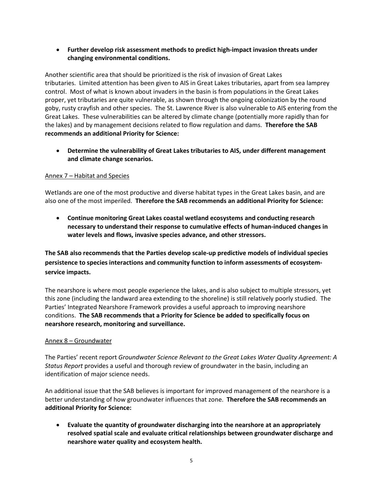• **Further develop risk assessment methods to predict high-impact invasion threats under changing environmental conditions.**

Another scientific area that should be prioritized is the risk of invasion of Great Lakes tributaries. Limited attention has been given to AIS in Great Lakes tributaries, apart from sea lamprey control. Most of what is known about invaders in the basin is from populations in the Great Lakes proper, yet tributaries are quite vulnerable, as shown through the ongoing colonization by the round goby, rusty crayfish and other species. The St. Lawrence River is also vulnerable to AIS entering from the Great Lakes. These vulnerabilities can be altered by climate change (potentially more rapidly than for the lakes) and by management decisions related to flow regulation and dams. **Therefore the SAB recommends an additional Priority for Science:**

• **Determine the vulnerability of Great Lakes tributaries to AIS, under different management and climate change scenarios.**

### Annex 7 – Habitat and Species

Wetlands are one of the most productive and diverse habitat types in the Great Lakes basin, and are also one of the most imperiled. **Therefore the SAB recommends an additional Priority for Science:**

• **Continue monitoring Great Lakes coastal wetland ecosystems and conducting research necessary to understand their response to cumulative effects of human-induced changes in water levels and flows, invasive species advance, and other stressors.**

**The SAB also recommends that the Parties develop scale-up predictive models of individual species persistence to species interactions and community function to inform assessments of ecosystemservice impacts.**

The nearshore is where most people experience the lakes, and is also subject to multiple stressors, yet this zone (including the landward area extending to the shoreline) is still relatively poorly studied. The Parties' Integrated Nearshore Framework provides a useful approach to improving nearshore conditions. **The SAB recommends that a Priority for Science be added to specifically focus on nearshore research, monitoring and surveillance.**

#### Annex 8 – Groundwater

The Parties' recent report *Groundwater Science Relevant to the Great Lakes Water Quality Agreement: A Status Report* provides a useful and thorough review of groundwater in the basin, including an identification of major science needs.

An additional issue that the SAB believes is important for improved management of the nearshore is a better understanding of how groundwater influences that zone. **Therefore the SAB recommends an additional Priority for Science:**

• **Evaluate the quantity of groundwater discharging into the nearshore at an appropriately resolved spatial scale and evaluate critical relationships between groundwater discharge and nearshore water quality and ecosystem health.**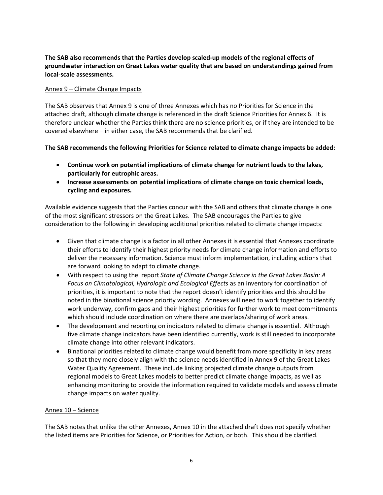### **The SAB also recommends that the Parties develop scaled-up models of the regional effects of groundwater interaction on Great Lakes water quality that are based on understandings gained from local-scale assessments.**

#### Annex 9 – Climate Change Impacts

The SAB observes that Annex 9 is one of three Annexes which has no Priorities for Science in the attached draft, although climate change is referenced in the draft Science Priorities for Annex 6. It is therefore unclear whether the Parties think there are no science priorities, or if they are intended to be covered elsewhere – in either case, the SAB recommends that be clarified.

### **The SAB recommends the following Priorities for Science related to climate change impacts be added:**

- **Continue work on potential implications of climate change for nutrient loads to the lakes, particularly for eutrophic areas.**
- **Increase assessments on potential implications of climate change on toxic chemical loads, cycling and exposures.**

Available evidence suggests that the Parties concur with the SAB and others that climate change is one of the most significant stressors on the Great Lakes. The SAB encourages the Parties to give consideration to the following in developing additional priorities related to climate change impacts:

- Given that climate change is a factor in all other Annexes it is essential that Annexes coordinate their efforts to identify their highest priority needs for climate change information and efforts to deliver the necessary information. Science must inform implementation, including actions that are forward looking to adapt to climate change.
- With respect to using the report *State of Climate Change Science in the Great Lakes Basin: A Focus on Climatological, Hydrologic and Ecological Effects* as an inventory for coordination of priorities, it is important to note that the report doesn't identify priorities and this should be noted in the binational science priority wording. Annexes will need to work together to identify work underway, confirm gaps and their highest priorities for further work to meet commitments which should include coordination on where there are overlaps/sharing of work areas.
- The development and reporting on indicators related to climate change is essential. Although five climate change indicators have been identified currently, work is still needed to incorporate climate change into other relevant indicators.
- Binational priorities related to climate change would benefit from more specificity in key areas so that they more closely align with the science needs identified in Annex 9 of the Great Lakes Water Quality Agreement. These include linking projected climate change outputs from regional models to Great Lakes models to better predict climate change impacts, as well as enhancing monitoring to provide the information required to validate models and assess climate change impacts on water quality.

#### Annex 10 – Science

The SAB notes that unlike the other Annexes, Annex 10 in the attached draft does not specify whether the listed items are Priorities for Science, or Priorities for Action, or both. This should be clarified.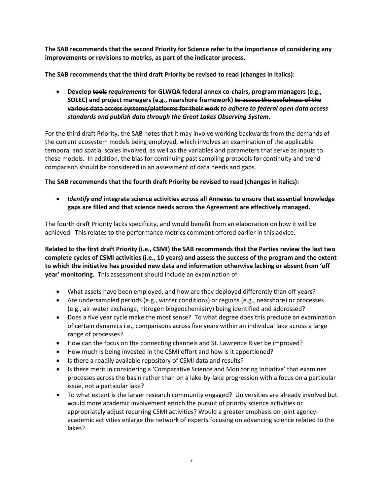**The SAB recommends that the second Priority for Science refer to the importance of considering any improvements or revisions to metrics, as part of the indicator process.**

**The SAB recommends that the third draft Priority be revised to read (changes in italics):**

• **Develop tools** *requirements* **for GLWQA federal annex co-chairs, program managers (e.g., SOLEC) and project managers (e.g., nearshore framework) to assess the usefulness of the various data access systems/platforms for their work** *to adhere to federal open data access standards and publish data through the Great Lakes Observing System***.**

For the third draft Priority, the SAB notes that it may involve working backwards from the demands of the current ecosystem models being employed, which involves an examination of the applicable temporal and spatial scales involved, as well as the variables and parameters that serve as inputs to those models. In addition, the bias for continuing past sampling protocols for continuity and trend comparison should be considered in an assessment of data needs and gaps.

**The SAB recommends that the fourth draft Priority be revised to read (changes in italics):**

• *Identify and* **integrate science activities across all Annexes to ensure that essential knowledge gaps are filled and that science needs across the Agreement are effectively managed.**

The fourth draft Priority lacks specificity, and would benefit from an elaboration on how it will be achieved. This relates to the performance metrics comment offered earlier in this advice.

**Related to the first draft Priority (i.e., CSMI) the SAB recommends that the Parties review the last two complete cycles of CSMI activities (i.e., 10 years) and assess the success of the program and the extent to which the initiative has provided new data and information otherwise lacking or absent from 'off year' monitoring.** This assessment should include an examination of:

- What assets have been employed, and how are they deployed differently than off years?
- Are undersampled periods (e.g., winter conditions) or regions (e.g., nearshore) or processes (e.g., air-water exchange, nitrogen biogeochemistry) being identified and addressed?
- Does a five year cycle make the most sense? To what degree does this preclude an examination of certain dynamics i.e., comparisons across five years within an individual lake across a large range of processes?
- How can the focus on the connecting channels and St. Lawrence River be improved?
- How much is being invested in the CSMI effort and how is it apportioned?
- Is there a readily available repository of CSMI data and results?
- Is there merit in considering a 'Comparative Science and Monitoring Initiative' that examines processes across the basin rather than on a lake-by-lake progression with a focus on a particular issue, not a particular lake?
- To what extent is the larger research community engaged? Universities are already involved but would more academic involvement enrich the pursuit of priority science activities or appropriately adjust recurring CSMI activities? Would a greater emphasis on joint agencyacademic activities enlarge the network of experts focusing on advancing science related to the lakes?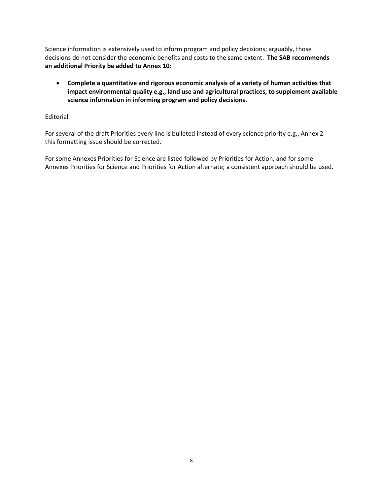Science information is extensively used to inform program and policy decisions; arguably, those decisions do not consider the economic benefits and costs to the same extent. **The SAB recommends an additional Priority be added to Annex 10:**

• **Complete a quantitative and rigorous economic analysis of a variety of human activities that impact environmental quality e.g., land use and agricultural practices, to supplement available science information in informing program and policy decisions.**

### **Editorial**

For several of the draft Priorities every line is bulleted instead of every science priority e.g., Annex 2 this formatting issue should be corrected.

For some Annexes Priorities for Science are listed followed by Priorities for Action, and for some Annexes Priorities for Science and Priorities for Action alternate; a consistent approach should be used.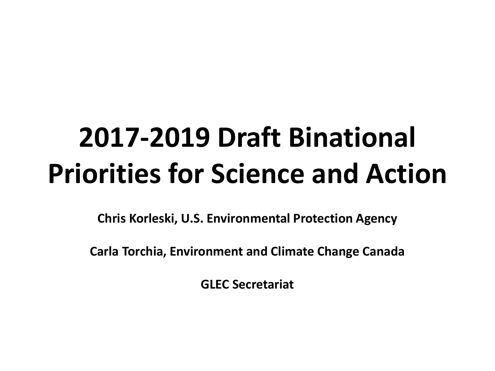**Chris Korleski, U.S. Environmental Protection Agency**

**Carla Torchia, Environment and Climate Change Canada**

**GLEC Secretariat**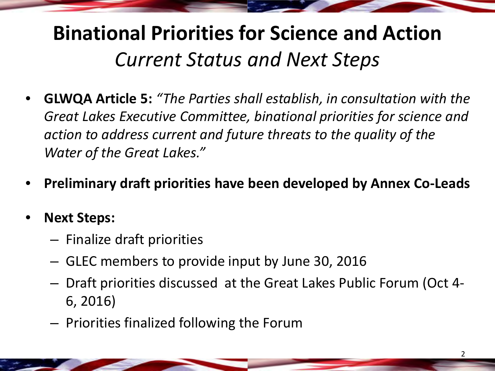# **Binational Priorities for Science and Action** *Current Status and Next Steps*

- **GLWQA Article 5:** *"The Parties shall establish, in consultation with the Great Lakes Executive Committee, binational priorities for science and action to address current and future threats to the quality of the Water of the Great Lakes."*
- **Preliminary draft priorities have been developed by Annex Co-Leads**
- **Next Steps:**
	- Finalize draft priorities
	- GLEC members to provide input by June 30, 2016
	- Draft priorities discussed at the Great Lakes Public Forum (Oct 4- 6, 2016)
	- Priorities finalized following the Forum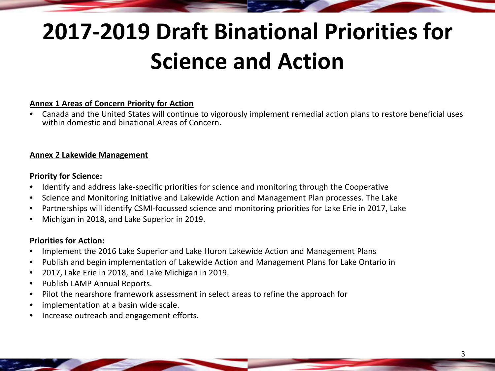## **Annex 1 Areas of Concern Priority for Action**

• Canada and the United States will continue to vigorously implement remedial action plans to restore beneficial uses within domestic and binational Areas of Concern.

### **Annex 2 Lakewide Management**

## **Priority for Science:**

- Identify and address lake-specific priorities for science and monitoring through the Cooperative
- Science and Monitoring Initiative and Lakewide Action and Management Plan processes. The Lake
- Partnerships will identify CSMI-focussed science and monitoring priorities for Lake Erie in 2017, Lake
- Michigan in 2018, and Lake Superior in 2019.

- Implement the 2016 Lake Superior and Lake Huron Lakewide Action and Management Plans
- Publish and begin implementation of Lakewide Action and Management Plans for Lake Ontario in
- 2017, Lake Erie in 2018, and Lake Michigan in 2019.
- Publish LAMP Annual Reports.
- Pilot the nearshore framework assessment in select areas to refine the approach for
- implementation at a basin wide scale.
- Increase outreach and engagement efforts.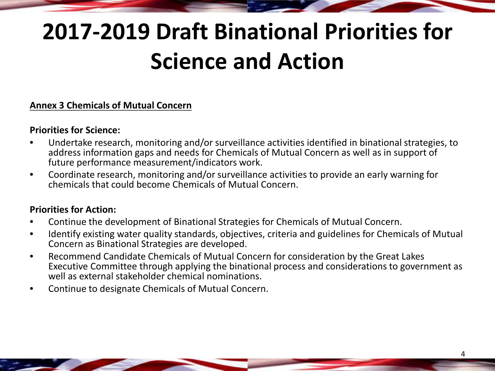# **Annex 3 Chemicals of Mutual Concern**

# **Priorities for Science:**

- Undertake research, monitoring and/or surveillance activities identified in binational strategies, to address information gaps and needs for Chemicals of Mutual Concern as well as in support of future performance measurement/indicators work.
- Coordinate research, monitoring and/or surveillance activities to provide an early warning for chemicals that could become Chemicals of Mutual Concern.

- Continue the development of Binational Strategies for Chemicals of Mutual Concern.
- Identify existing water quality standards, objectives, criteria and guidelines for Chemicals of Mutual Concern as Binational Strategies are developed.
- Recommend Candidate Chemicals of Mutual Concern for consideration by the Great Lakes Executive Committee through applying the binational process and considerations to government as well as external stakeholder chemical nominations.
- Continue to designate Chemicals of Mutual Concern.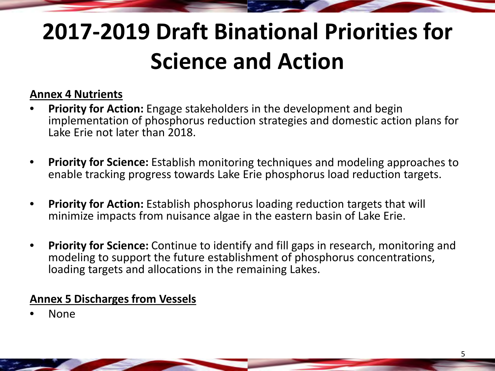# **Annex 4 Nutrients**

- **Priority for Action:** Engage stakeholders in the development and begin implementation of phosphorus reduction strategies and domestic action plans for Lake Erie not later than 2018.
- **Priority for Science:** Establish monitoring techniques and modeling approaches to enable tracking progress towards Lake Erie phosphorus load reduction targets.
- **Priority for Action:** Establish phosphorus loading reduction targets that will minimize impacts from nuisance algae in the eastern basin of Lake Erie.
- **Priority for Science:** Continue to identify and fill gaps in research, monitoring and modeling to support the future establishment of phosphorus concentrations, loading targets and allocations in the remaining Lakes.

# **Annex 5 Discharges from Vessels**

• None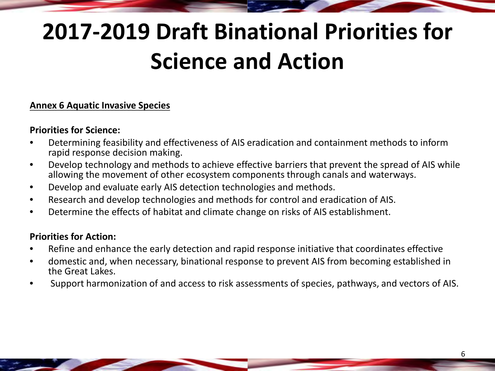# **Annex 6 Aquatic Invasive Species**

# **Priorities for Science:**

- Determining feasibility and effectiveness of AIS eradication and containment methods to inform rapid response decision making.
- Develop technology and methods to achieve effective barriers that prevent the spread of AIS while allowing the movement of other ecosystem components through canals and waterways.
- Develop and evaluate early AIS detection technologies and methods.
- Research and develop technologies and methods for control and eradication of AIS.
- Determine the effects of habitat and climate change on risks of AIS establishment.

- Refine and enhance the early detection and rapid response initiative that coordinates effective
- domestic and, when necessary, binational response to prevent AIS from becoming established in the Great Lakes.
- Support harmonization of and access to risk assessments of species, pathways, and vectors of AIS.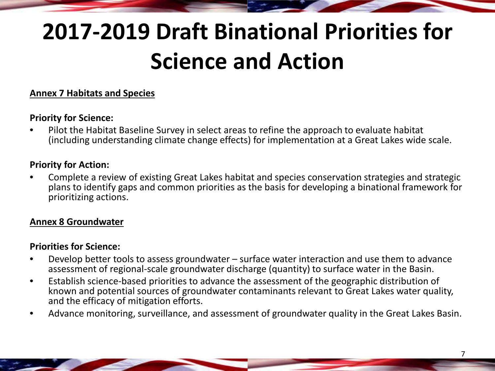# **Annex 7 Habitats and Species**

# **Priority for Science:**

• Pilot the Habitat Baseline Survey in select areas to refine the approach to evaluate habitat (including understanding climate change effects) for implementation at a Great Lakes wide scale.

# **Priority for Action:**

• Complete a review of existing Great Lakes habitat and species conservation strategies and strategic plans to identify gaps and common priorities as the basis for developing a binational framework for prioritizing actions.

# **Annex 8 Groundwater**

# **Priorities for Science:**

- Develop better tools to assess groundwater surface water interaction and use them to advance assessment of regional-scale groundwater discharge (quantity) to surface water in the Basin.
- Establish science-based priorities to advance the assessment of the geographic distribution of known and potential sources of groundwater contaminants relevant to Great Lakes water quality, and the efficacy of mitigation efforts.
- Advance monitoring, surveillance, and assessment of groundwater quality in the Great Lakes Basin.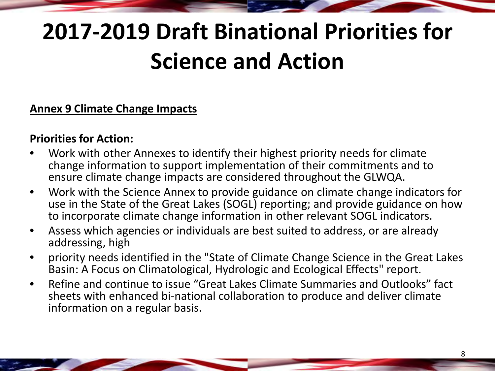# **Annex 9 Climate Change Impacts**

- Work with other Annexes to identify their highest priority needs for climate change information to support implementation of their commitments and to ensure climate change impacts are considered throughout the GLWQA.
- Work with the Science Annex to provide guidance on climate change indicators for use in the State of the Great Lakes (SOGL) reporting; and provide guidance on how to incorporate climate change information in other relevant SOGL indicators.
- Assess which agencies or individuals are best suited to address, or are already addressing, high
- priority needs identified in the "State of Climate Change Science in the Great Lakes Basin: A Focus on Climatological, Hydrologic and Ecological Effects" report.
- Refine and continue to issue "Great Lakes Climate Summaries and Outlooks" fact sheets with enhanced bi-national collaboration to produce and deliver climate information on a regular basis.